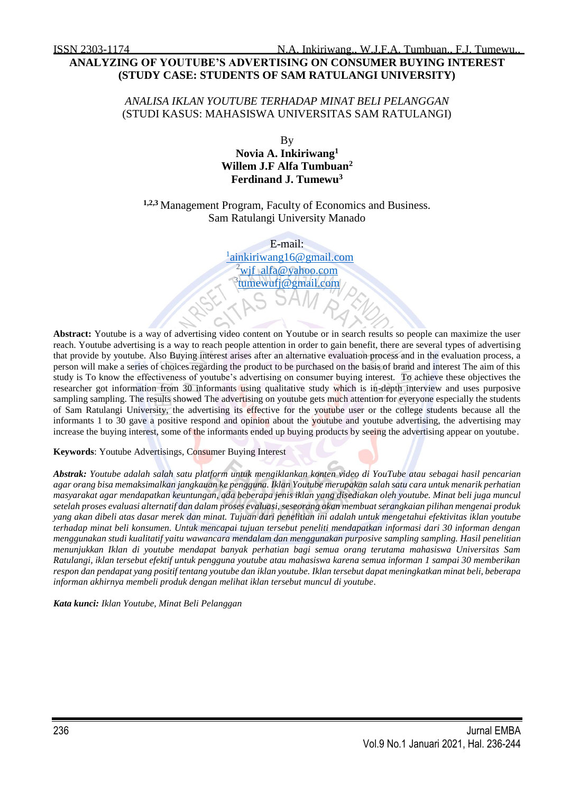# **ANALYZING OF YOUTUBE'S ADVERTISING ON CONSUMER BUYING INTEREST (STUDY CASE: STUDENTS OF SAM RATULANGI UNIVERSITY)**

## *ANALISA IKLAN YOUTUBE TERHADAP MINAT BELI PELANGGAN* (STUDI KASUS: MAHASISWA UNIVERSITAS SAM RATULANGI)

By **Novia A. Inkiriwang<sup>1</sup> Willem J.F Alfa Tumbuan<sup>2</sup> Ferdinand J. Tumewu<sup>3</sup>**

**1,2,3** Management Program, Faculty of Economics and Business. Sam Ratulangi University Manado

> E-mail: <sup>1</sup>[ainkiriwang16@gmail.com](mailto:1ainkiriwang16@gmail.com) <sup>2</sup>[wjf\\_alfa@yahoo.com](mailto:wjf_alfa@yahoo.com)  <sup>3</sup>[tumewufj@gmail.com](mailto:tumewufj@gmail.com)

**Abstract:** Youtube is a way of advertising video content on Youtube or in search results so people can maximize the user reach. Youtube advertising is a way to reach people attention in order to gain benefit, there are several types of advertising that provide by youtube. Also Buying interest arises after an alternative evaluation process and in the evaluation process, a person will make a series of choices regarding the product to be purchased on the basis of brand and interest The aim of this study is To know the effectiveness of youtube's advertising on consumer buying interest*.* To achieve these objectives the researcher got information from 30 informants using qualitative study which is in-depth interview and uses purposive sampling sampling. The results showed The advertising on youtube gets much attention for everyone especially the students of Sam Ratulangi University, the advertising its effective for the youtube user or the college students because all the informants 1 to 30 gave a positive respond and opinion about the youtube and youtube advertising, the advertising may increase the buying interest, some of the informants ended up buying products by seeing the advertising appear on youtube.

### **Keywords**: Youtube Advertisings, Consumer Buying Interest

*Abstrak: Youtube adalah salah satu platform untuk mengiklankan konten video di YouTube atau sebagai hasil pencarian agar orang bisa memaksimalkan jangkauan ke pengguna. Iklan Youtube merupakan salah satu cara untuk menarik perhatian masyarakat agar mendapatkan keuntungan, ada beberapa jenis iklan yang disediakan oleh youtube. Minat beli juga muncul setelah proses evaluasi alternatif dan dalam proses evaluasi, seseorang akan membuat serangkaian pilihan mengenai produk yang akan dibeli atas dasar merek dan minat. Tujuan dari penelitian ini adalah untuk mengetahui efektivitas iklan youtube terhadap minat beli konsumen. Untuk mencapai tujuan tersebut peneliti mendapatkan informasi dari 30 informan dengan menggunakan studi kualitatif yaitu wawancara mendalam dan menggunakan purposive sampling sampling. Hasil penelitian menunjukkan Iklan di youtube mendapat banyak perhatian bagi semua orang terutama mahasiswa Universitas Sam Ratulangi, iklan tersebut efektif untuk pengguna youtube atau mahasiswa karena semua informan 1 sampai 30 memberikan respon dan pendapat yang positif tentang youtube dan iklan youtube. Iklan tersebut dapat meningkatkan minat beli, beberapa informan akhirnya membeli produk dengan melihat iklan tersebut muncul di youtube.* 

*Kata kunci: Iklan Youtube, Minat Beli Pelanggan*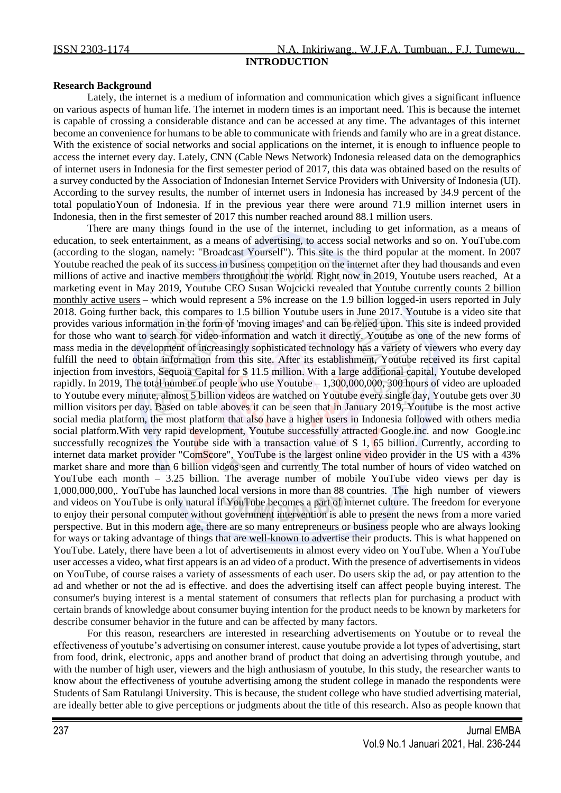## **Research Background**

Lately, the internet is a medium of information and communication which gives a significant influence on various aspects of human life. The internet in modern times is an important need. This is because the internet is capable of crossing a considerable distance and can be accessed at any time. The advantages of this internet become an convenience for humans to be able to communicate with friends and family who are in a great distance. With the existence of social networks and social applications on the internet, it is enough to influence people to access the internet every day. Lately, CNN (Cable News Network) Indonesia released data on the demographics of internet users in Indonesia for the first semester period of 2017, this data was obtained based on the results of a survey conducted by the Association of Indonesian Internet Service Providers with University of Indonesia (UI). According to the survey results, the number of internet users in Indonesia has increased by 34.9 percent of the total populatioYoun of Indonesia. If in the previous year there were around 71.9 million internet users in Indonesia, then in the first semester of 2017 this number reached around 88.1 million users.

There are many things found in the use of the internet, including to get information, as a means of education, to seek entertainment, as a means of advertising, to access social networks and so on. YouTube.com (according to the slogan, namely: "Broadcast Yourself"). This site is the third popular at the moment. In 2007 Youtube reached the peak of its success in business competition on the internet after they had thousands and even millions of active and inactive members throughout the world. Right now in 2019, Youtube users reached, At a marketing event in May 2019, Youtube CEO Susan Wojcicki revealed that [Youtube currently counts 2 billion](https://variety.com/2019/digital/news/youtube-2-billion-users-tv-screen-watch-time-hours-1203204267/)  [monthly active users](https://variety.com/2019/digital/news/youtube-2-billion-users-tv-screen-watch-time-hours-1203204267/) – which would represent a 5% increase on the 1.9 billion logged-in users reported in July 2018. Going further back, this compares to 1.5 billion Youtube users in June 2017. Youtube is a video site that provides various information in the form of 'moving images' and can be relied upon. This site is indeed provided for those who want to search for video information and watch it directly. Youtube as one of the new forms of mass media in the development of increasingly sophisticated technology has a variety of viewers who every day fulfill the need to obtain information from this site. After its establishment, Youtube received its first capital injection from investors, Sequoia Capital for \$ 11.5 million. With a large additional capital, Youtube developed rapidly. In 2019, The total number of people who use Youtube – 1,300,000,000, 300 hours of video are uploaded to Youtube every minute, almost 5 billion videos are watched on Youtube every single day, Youtube gets over 30 million visitors per day. Based on table aboves it can be seen that in January 2019, Youtube is the most active social media platform, the most platform that also have a higher users in Indonesia followed with others media social platform.With very rapid development, Youtube successfully attracted Google.inc. and now Google.inc successfully recognizes the Youtube side with a transaction value of \$ 1, 65 billion. Currently, according to internet data market provider "ComScore", YouTube is the largest online video provider in the US with a 43% market share and more than 6 billion videos seen and currently The total number of hours of video watched on YouTube each month – 3.25 billion. The average number of mobile YouTube video views per day is 1,000,000,000,. YouTube has launched local versions in more than 88 countries. The high number of viewers and videos on YouTube is only natural if YouTube becomes a part of internet culture. The freedom for everyone to enjoy their personal computer without government intervention is able to present the news from a more varied perspective. But in this modern age, there are so many entrepreneurs or business people who are always looking for ways or taking advantage of things that are well-known to advertise their products. This is what happened on YouTube. Lately, there have been a lot of advertisements in almost every video on YouTube. When a YouTube user accesses a video, what first appears is an ad video of a product. With the presence of advertisements in videos on YouTube, of course raises a variety of assessments of each user. Do users skip the ad, or pay attention to the ad and whether or not the ad is effective. and does the advertising itself can affect people buying interest. The consumer's buying interest is a mental statement of consumers that reflects plan for purchasing a product with certain brands of knowledge about consumer buying intention for the product needs to be known by marketers for describe consumer behavior in the future and can be affected by many factors.

For this reason, researchers are interested in researching advertisements on Youtube or to reveal the effectiveness of youtube's advertising on consumer interest, cause youtube provide a lot types of advertising, start from food, drink, electronic, apps and another brand of product that doing an advertising through youtube, and with the number of high user, viewers and the high anthusiasm of youtube, In this study, the researcher wants to know about the effectiveness of youtube advertising among the student college in manado the respondents were Students of Sam Ratulangi University. This is because, the student college who have studied advertising material, are ideally better able to give perceptions or judgments about the title of this research. Also as people known that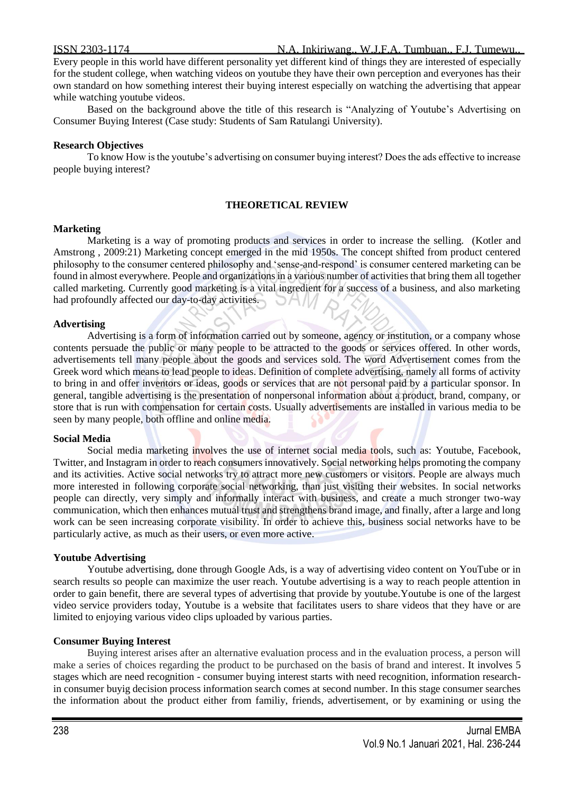Every people in this world have different personality yet different kind of things they are interested of especially for the student college, when watching videos on youtube they have their own perception and everyones has their own standard on how something interest their buying interest especially on watching the advertising that appear while watching youtube videos.

Based on the background above the title of this research is "Analyzing of Youtube's Advertising on Consumer Buying Interest (Case study: Students of Sam Ratulangi University).

### **Research Objectives**

To know How is the youtube's advertising on consumer buying interest? Does the ads effective to increase people buying interest?

### **THEORETICAL REVIEW**

### **Marketing**

Marketing is a way of promoting products and services in order to increase the selling. (Kotler and Amstrong , 2009:21) Marketing concept emerged in the mid 1950s. The concept shifted from product centered philosophy to the consumer centered philosophy and 'sense-and-respond' is consumer centered marketing can be found in almost everywhere. People and organizations in a various number of activities that bring them all together called marketing. Currently good marketing is a vital ingredient for a success of a business, and also marketing had profoundly affected our day-to-day activities.

### **Advertising**

Advertising is a form of information carried out by someone, agency or institution, or a company whose contents persuade the public or many people to be attracted to the goods or services offered. In other words, advertisements tell many people about the goods and services sold. The word Advertisement comes from the Greek word which means to lead people to ideas. Definition of complete advertising, namely all forms of activity to bring in and offer inventors or ideas, goods or services that are not personal paid by a particular sponsor. In general, tangible advertising is the presentation of nonpersonal information about a product, brand, company, or store that is run with compensation for certain costs. Usually advertisements are installed in various media to be seen by many people, both offline and online media.

### **Social Media**

Social media marketing involves the use of internet social media tools, such as: Youtube, Facebook, Twitter, and Instagram in order to reach consumers innovatively. Social networking helps promoting the company and its activities. Active social networks try to attract more new customers or visitors. People are always much more interested in following corporate social networking, than just visiting their websites. In social networks people can directly, very simply and informally interact with business, and create a much stronger two-way communication, which then enhances mutual trust and strengthens brand image, and finally, after a large and long work can be seen increasing corporate visibility. In order to achieve this, business social networks have to be particularly active, as much as their users, or even more active.

### **Youtube Advertising**

Youtube advertising, done through Google Ads, is a way of advertising video content on YouTube or in search results so people can maximize the user reach. Youtube advertising is a way to reach people attention in order to gain benefit, there are several types of advertising that provide by youtube.Youtube is one of the largest video service providers today, Youtube is a website that facilitates users to share videos that they have or are limited to enjoying various video clips uploaded by various parties.

### **Consumer Buying Interest**

Buying interest arises after an alternative evaluation process and in the evaluation process, a person will make a series of choices regarding the product to be purchased on the basis of brand and interest. It involves 5 stages which are need recognition - consumer buying interest starts with need recognition, information researchin consumer buyig decision process information search comes at second number. In this stage consumer searches the information about the product either from familiy, friends, advertisement, or by examining or using the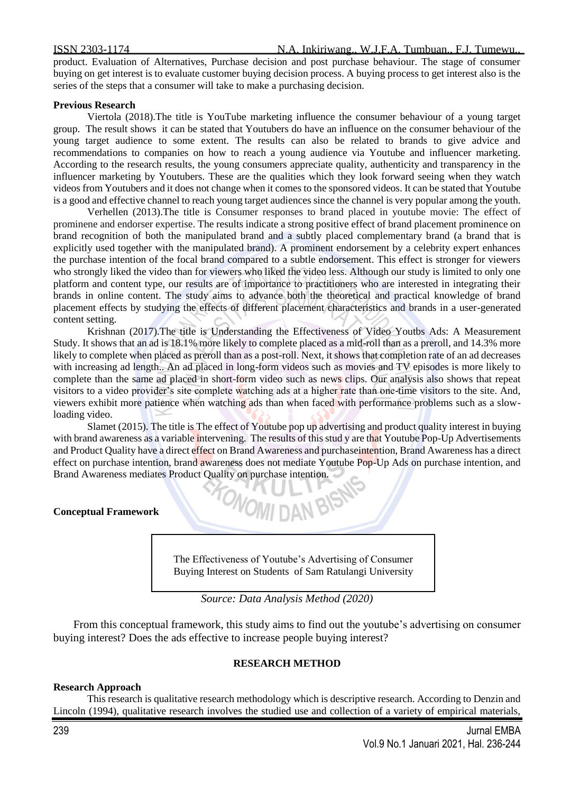product. Evaluation of Alternatives, Purchase decision and post purchase behaviour. The stage of consumer buying on get interest is to evaluate customer buying decision process. A buying process to get interest also is the series of the steps that a consumer will take to make a purchasing decision.

### **Previous Research**

Viertola (2018).The title is YouTube marketing influence the consumer behaviour of a young target group. The result shows it can be stated that Youtubers do have an influence on the consumer behaviour of the young target audience to some extent. The results can also be related to brands to give advice and recommendations to companies on how to reach a young audience via Youtube and influencer marketing. According to the research results, the young consumers appreciate quality, authenticity and transparency in the influencer marketing by Youtubers. These are the qualities which they look forward seeing when they watch videos from Youtubers and it does not change when it comes to the sponsored videos. It can be stated that Youtube is a good and effective channel to reach young target audiences since the channel is very popular among the youth.

Verhellen (2013).The title is Consumer responses to brand placed in youtube movie: The effect of prominene and endorser expertise. The results indicate a strong positive effect of brand placement prominence on brand recognition of both the manipulated brand and a subtly placed complementary brand (a brand that is explicitly used together with the manipulated brand). A prominent endorsement by a celebrity expert enhances the purchase intention of the focal brand compared to a subtle endorsement. This effect is stronger for viewers who strongly liked the video than for viewers who liked the video less. Although our study is limited to only one platform and content type, our results are of importance to practitioners who are interested in integrating their brands in online content. The study aims to advance both the theoretical and practical knowledge of brand placement effects by studying the effects of different placement characteristics and brands in a user-generated content setting.

Krishnan (2017).The title is Understanding the Effectiveness of Video Youtbs Ads: A Measurement Study. It shows that an ad is 18.1% more likely to complete placed as a mid-roll than as a preroll, and 14.3% more likely to complete when placed as preroll than as a post-roll. Next, it shows that completion rate of an ad decreases with increasing ad length.. An ad placed in long-form videos such as movies and TV episodes is more likely to complete than the same ad placed in short-form video such as news clips. Our analysis also shows that repeat visitors to a video provider's site complete watching ads at a higher rate than one-time visitors to the site. And, viewers exhibit more patience when watching ads than when faced with performance problems such as a slowloading video.

Slamet (2015). The title is The effect of Youtube pop up advertising and product quality interest in buying with brand awareness as a variable intervening. The results of this stud y are that Youtube Pop-Up Advertisements and Product Quality have a direct effect on Brand Awareness and purchaseintention, Brand Awareness has a direct effect on purchase intention, brand awareness does not mediate Youtube Pop-Up Ads on purchase intention, and Brand Awareness mediates Product Quality on purchase intention.

**WOMI DAN BIS** 

# **Conceptual Framework**

The Effectiveness of Youtube's Advertising of Consumer Buying Interest on Students of Sam Ratulangi University



From this conceptual framework, this study aims to find out the youtube's advertising on consumer buying interest? Does the ads effective to increase people buying interest?

# **RESEARCH METHOD**

### **Research Approach**

This research is qualitative research methodology which is descriptive research. According to Denzin and Lincoln (1994), qualitative research involves the studied use and collection of a variety of empirical materials,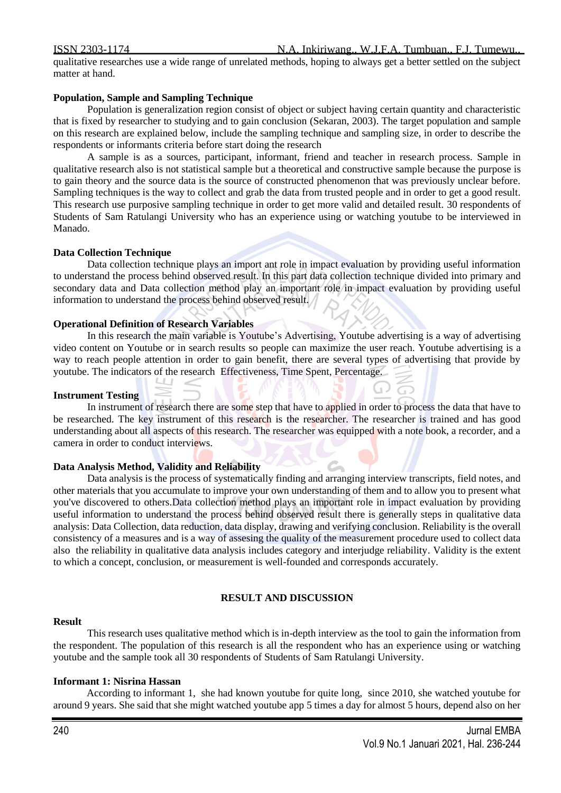# ISSN 2303-1174 N.A. Inkiriwang., W.J.F.A. Tumbuan., F.J. Tumewu..

qualitative researches use a wide range of unrelated methods, hoping to always get a better settled on the subject matter at hand.

# **Population, Sample and Sampling Technique**

Population is generalization region consist of object or subject having certain quantity and characteristic that is fixed by researcher to studying and to gain conclusion (Sekaran, 2003). The target population and sample on this research are explained below, include the sampling technique and sampling size, in order to describe the respondents or informants criteria before start doing the research

A sample is as a sources, participant, informant, friend and teacher in research process. Sample in qualitative research also is not statistical sample but a theoretical and constructive sample because the purpose is to gain theory and the source data is the source of constructed phenomenon that was previously unclear before. Sampling techniques is the way to collect and grab the data from trusted people and in order to get a good result. This research use purposive sampling technique in order to get more valid and detailed result. 30 respondents of Students of Sam Ratulangi University who has an experience using or watching youtube to be interviewed in Manado.

# **Data Collection Technique**

Data collection technique plays an import ant role in impact evaluation by providing useful information to understand the process behind observed result. In this part data collection technique divided into primary and secondary data and Data collection method play an important role in impact evaluation by providing useful information to understand the process behind observed result.

# **Operational Definition of Research Variables**

 $\perp$  1

In this research the main variable is Youtube's Advertising, Youtube advertising is a way of advertising video content on Youtube or in search results so people can maximize the user reach. Youtube advertising is a way to reach people attention in order to gain benefit, there are several types of advertising that provide by youtube. The indicators of the research Effectiveness, Time Spent, Percentage.

# **Instrument Testing**

In instrument of research there are some step that have to applied in order to process the data that have to be researched. The key instrument of this research is the researcher. The researcher is trained and has good understanding about all aspects of this research. The researcher was equipped with a note book, a recorder, and a camera in order to conduct interviews.

# **Data Analysis Method, Validity and Reliability**

Data analysis is the process of systematically finding and arranging interview transcripts, field notes, and other materials that you accumulate to improve your own understanding of them and to allow you to present what you've discovered to others.Data collection method plays an important role in impact evaluation by providing useful information to understand the process behind observed result there is generally steps in qualitative data analysis: Data Collection, data reduction, data display, drawing and verifying conclusion. Reliability is the overall consistency of a measures and is a way of assesing the quality of the measurement procedure used to collect data also the reliability in qualitative data analysis includes category and interjudge reliability. Validity is the extent to which a concept, conclusion, or measurement is well-founded and corresponds accurately.

### **RESULT AND DISCUSSION**

### **Result**

This research uses qualitative method which is in-depth interview as the tool to gain the information from the respondent. The population of this research is all the respondent who has an experience using or watching youtube and the sample took all 30 respondents of Students of Sam Ratulangi University.

### **Informant 1: Nisrina Hassan**

According to informant 1, she had known youtube for quite long, since 2010, she watched youtube for around 9 years. She said that she might watched youtube app 5 times a day for almost 5 hours, depend also on her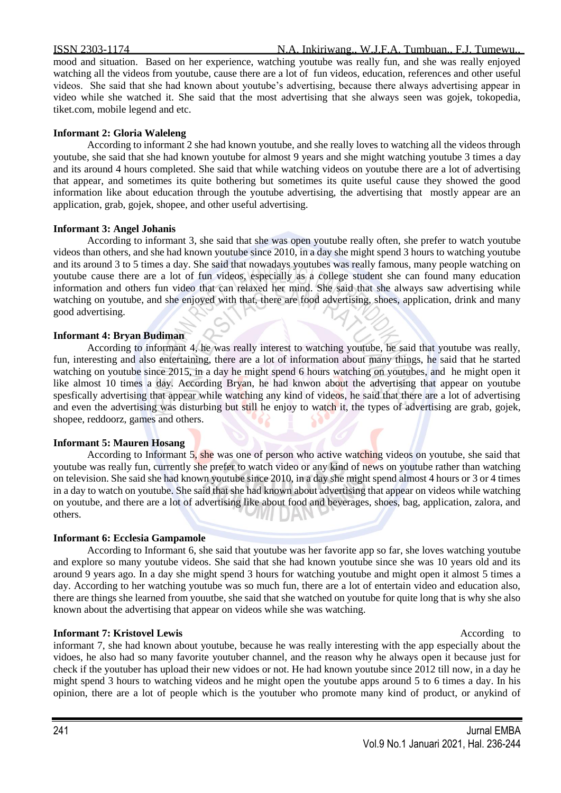### ISSN 2303-1174 N.A. Inkiriwang., W.J.F.A. Tumbuan., F.J. Tumewu..

mood and situation. Based on her experience, watching youtube was really fun, and she was really enjoyed watching all the videos from youtube, cause there are a lot of fun videos, education, references and other useful videos. She said that she had known about youtube's advertising, because there always advertising appear in video while she watched it. She said that the most advertising that she always seen was gojek, tokopedia, tiket.com, mobile legend and etc.

## **Informant 2: Gloria Waleleng**

According to informant 2 she had known youtube, and she really loves to watching all the videos through youtube, she said that she had known youtube for almost 9 years and she might watching youtube 3 times a day and its around 4 hours completed. She said that while watching videos on youtube there are a lot of advertising that appear, and sometimes its quite bothering but sometimes its quite useful cause they showed the good information like about education through the youtube advertising, the advertising that mostly appear are an application, grab, gojek, shopee, and other useful advertising.

### **Informant 3: Angel Johanis**

According to informant 3, she said that she was open youtube really often, she prefer to watch youtube videos than others, and she had known youtube since 2010, in a day she might spend 3 hours to watching youtube and its around 3 to 5 times a day. She said that nowadays youtubes was really famous, many people watching on youtube cause there are a lot of fun videos, especially as a college student she can found many education information and others fun video that can relaxed her mind. She said that she always saw advertising while watching on youtube, and she enjoyed with that, there are food advertising, shoes, application, drink and many good advertising.

# **Informant 4: Bryan Budiman**

According to informant 4, he was really interest to watching youtube, he said that youtube was really, fun, interesting and also entertaining, there are a lot of information about many things, he said that he started watching on youtube since 2015, in a day he might spend 6 hours watching on youtubes, and he might open it like almost 10 times a day. According Bryan, he had knwon about the advertising that appear on youtube spesfically advertising that appear while watching any kind of videos, he said that there are a lot of advertising and even the advertising was disturbing but still he enjoy to watch it, the types of advertising are grab, gojek, shopee, reddoorz, games and others.

### **Informant 5: Mauren Hosang**

According to Informant 5, she was one of person who active watching videos on youtube, she said that youtube was really fun, currently she prefer to watch video or any kind of news on youtube rather than watching on television. She said she had known youtube since 2010, in a day she might spend almost 4 hours or 3 or 4 times in a day to watch on youtube. She said that she had known about advertising that appear on videos while watching on youtube, and there are a lot of advertising like about food and beverages, shoes, bag, application, zalora, and others.

### **Informant 6: Ecclesia Gampamole**

According to Informant 6, she said that youtube was her favorite app so far, she loves watching youtube and explore so many youtube videos. She said that she had known youtube since she was 10 years old and its around 9 years ago. In a day she might spend 3 hours for watching youtube and might open it almost 5 times a day. According to her watching youtube was so much fun, there are a lot of entertain video and education also, there are things she learned from youutbe, she said that she watched on youtube for quite long that is why she also known about the advertising that appear on videos while she was watching.

# **Informant 7: Kristovel Lewis According to According to According to According to According to According to According to According to According to According to According to According to According to According to Accordin**

informant 7, she had known about youtube, because he was really interesting with the app especially about the vidoes, he also had so many favorite youtuber channel, and the reason why he always open it because just for check if the youtuber has upload their new vidoes or not. He had known youtube since 2012 till now, in a day he might spend 3 hours to watching videos and he might open the youtube apps around 5 to 6 times a day. In his opinion, there are a lot of people which is the youtuber who promote many kind of product, or anykind of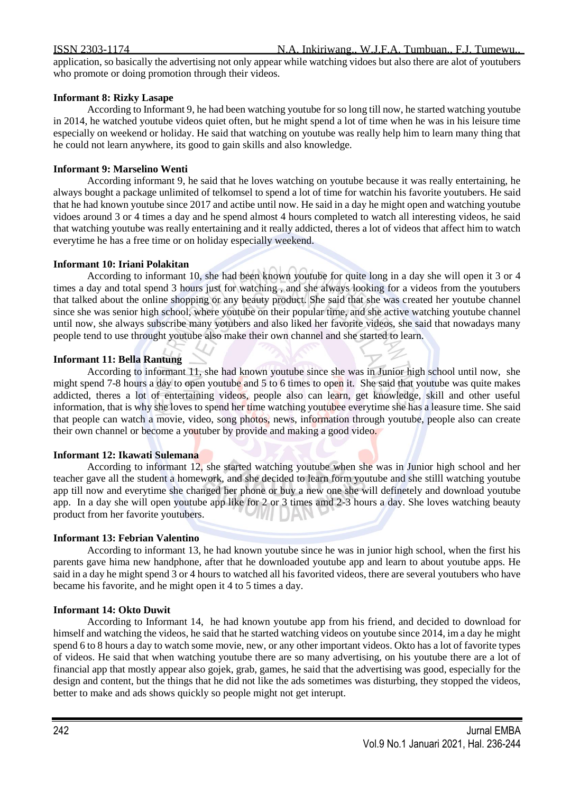application, so basically the advertising not only appear while watching vidoes but also there are alot of youtubers who promote or doing promotion through their videos.

### **Informant 8: Rizky Lasape**

According to Informant 9, he had been watching youtube for so long till now, he started watching youtube in 2014, he watched youtube videos quiet often, but he might spend a lot of time when he was in his leisure time especially on weekend or holiday. He said that watching on youtube was really help him to learn many thing that he could not learn anywhere, its good to gain skills and also knowledge.

### **Informant 9: Marselino Wenti**

According informant 9, he said that he loves watching on youtube because it was really entertaining, he always bought a package unlimited of telkomsel to spend a lot of time for watchin his favorite youtubers. He said that he had known youtube since 2017 and actibe until now. He said in a day he might open and watching youtube vidoes around 3 or 4 times a day and he spend almost 4 hours completed to watch all interesting videos, he said that watching youtube was really entertaining and it really addicted, theres a lot of videos that affect him to watch everytime he has a free time or on holiday especially weekend.

### **Informant 10: Iriani Polakitan**

According to informant 10, she had been known youtube for quite long in a day she will open it 3 or 4 times a day and total spend 3 hours just for watching , and she always looking for a videos from the youtubers that talked about the online shopping or any beauty product. She said that she was created her youtube channel since she was senior high school, where youtube on their popular time, and she active watching youtube channel until now, she always subscribe many yotubers and also liked her favorite videos, she said that nowadays many people tend to use throught youtube also make their own channel and she started to learn.

### **Informant 11: Bella Rantung**

According to informant 11, she had known youtube since she was in Junior high school until now, she might spend 7-8 hours a day to open youtube and 5 to 6 times to open it. She said that youtube was quite makes addicted, theres a lot of entertaining videos, people also can learn, get knowledge, skill and other useful information, that is why she loves to spend her time watching youtubee everytime she has a leasure time. She said that people can watch a movie, video, song photos, news, information through youtube, people also can create their own channel or become a youtuber by provide and making a good video.

### **Informant 12: Ikawati Sulemana**

According to informant 12, she started watching youtube when she was in Junior high school and her teacher gave all the student a homework, and she decided to learn form youtube and she stilll watching youtube app till now and everytime she changed her phone or buy a new one she will definetely and download youtube app. In a day she will open youtube app like for 2 or 3 times amd 2-3 hours a day. She loves watching beauty product from her favorite youtubers.

### **Informant 13: Febrian Valentino**

According to informant 13, he had known youtube since he was in junior high school, when the first his parents gave hima new handphone, after that he downloaded youtube app and learn to about youtube apps. He said in a day he might spend 3 or 4 hours to watched all his favorited videos, there are several youtubers who have became his favorite, and he might open it 4 to 5 times a day.

### **Informant 14: Okto Duwit**

According to Informant 14, he had known youtube app from his friend, and decided to download for himself and watching the videos, he said that he started watching videos on youtube since 2014, im a day he might spend 6 to 8 hours a day to watch some movie, new, or any other important videos. Okto has a lot of favorite types of videos. He said that when watching youtube there are so many advertising, on his youtube there are a lot of financial app that mostly appear also gojek, grab, games, he said that the advertising was good, especially for the design and content, but the things that he did not like the ads sometimes was disturbing, they stopped the videos, better to make and ads shows quickly so people might not get interupt.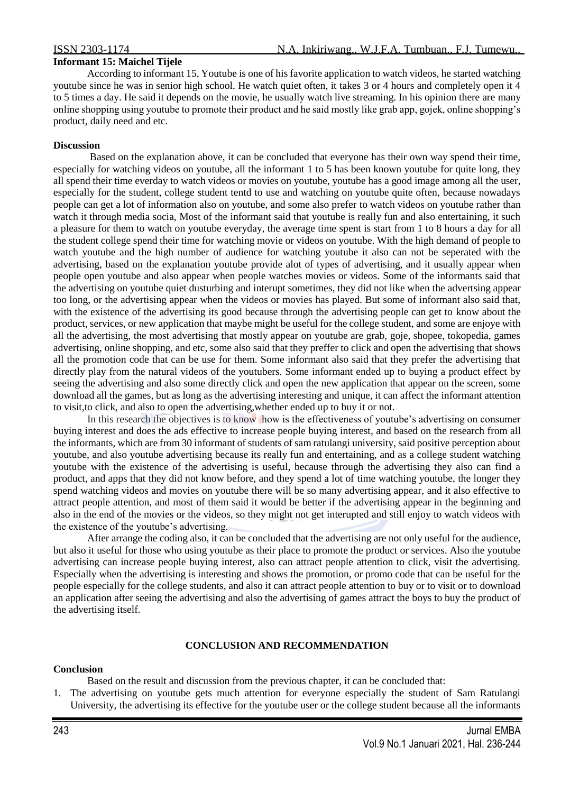### **Informant 15: Maichel Tijele**

According to informant 15, Youtube is one of his favorite application to watch videos, he started watching youtube since he was in senior high school. He watch quiet often, it takes 3 or 4 hours and completely open it 4 to 5 times a day. He said it depends on the movie, he usually watch live streaming. In his opinion there are many online shopping using youtube to promote their product and he said mostly like grab app, gojek, online shopping's product, daily need and etc.

### **Discussion**

Based on the explanation above, it can be concluded that everyone has their own way spend their time, especially for watching videos on youtube, all the informant 1 to 5 has been known youtube for quite long, they all spend their time everday to watch videos or movies on youtube, youtube has a good image among all the user, especially for the student, college student tentd to use and watching on youtube quite often, because nowadays people can get a lot of information also on youtube, and some also prefer to watch videos on youtube rather than watch it through media socia, Most of the informant said that youtube is really fun and also entertaining, it such a pleasure for them to watch on youtube everyday, the average time spent is start from 1 to 8 hours a day for all the student college spend their time for watching movie or videos on youtube. With the high demand of people to watch youtube and the high number of audience for watching youtube it also can not be seperated with the advertising, based on the explanation youtube provide alot of types of advertising, and it usually appear when people open youtube and also appear when people watches movies or videos. Some of the informants said that the advertising on youtube quiet dusturbing and interupt sometimes, they did not like when the advertsing appear too long, or the advertising appear when the videos or movies has played. But some of informant also said that, with the existence of the advertising its good because through the advertising people can get to know about the product, services, or new application that maybe might be useful for the college student, and some are enjoye with all the advertising, the most advertising that mostly appear on youtube are grab, goje, shopee, tokopedia, games advertising, online shopping, and etc, some also said that they preffer to click and open the advertising that shows all the promotion code that can be use for them. Some informant also said that they prefer the advertising that directly play from the natural videos of the youtubers. Some informant ended up to buying a product effect by seeing the advertising and also some directly click and open the new application that appear on the screen, some download all the games, but as long as the advertising interesting and unique, it can affect the informant attention to visit,to click, and also to open the advertising,whether ended up to buy it or not.

In this research the objectives is to know how is the effectiveness of youtube's advertising on consumer buying interest and does the ads effective to increase people buying interest, and based on the research from all the informants, which are from 30 informant of students of sam ratulangi university, said positive perception about youtube, and also youtube advertising because its really fun and entertaining, and as a college student watching youtube with the existence of the advertising is useful, because through the advertising they also can find a product, and apps that they did not know before, and they spend a lot of time watching youtube, the longer they spend watching videos and movies on youtube there will be so many advertising appear, and it also effective to attract people attention, and most of them said it would be better if the advertising appear in the beginning and also in the end of the movies or the videos, so they might not get interupted and still enjoy to watch videos with the existence of the youtube's advertising.

After arrange the coding also, it can be concluded that the advertising are not only useful for the audience, but also it useful for those who using youtube as their place to promote the product or services. Also the youtube advertising can increase people buying interest, also can attract people attention to click, visit the advertising. Especially when the advertising is interesting and shows the promotion, or promo code that can be useful for the people especially for the college students, and also it can attract people attention to buy or to visit or to download an application after seeing the advertising and also the advertising of games attract the boys to buy the product of the advertising itself.

### **CONCLUSION AND RECOMMENDATION**

### **Conclusion**

Based on the result and discussion from the previous chapter, it can be concluded that:

1. The advertising on youtube gets much attention for everyone especially the student of Sam Ratulangi University, the advertising its effective for the youtube user or the college student because all the informants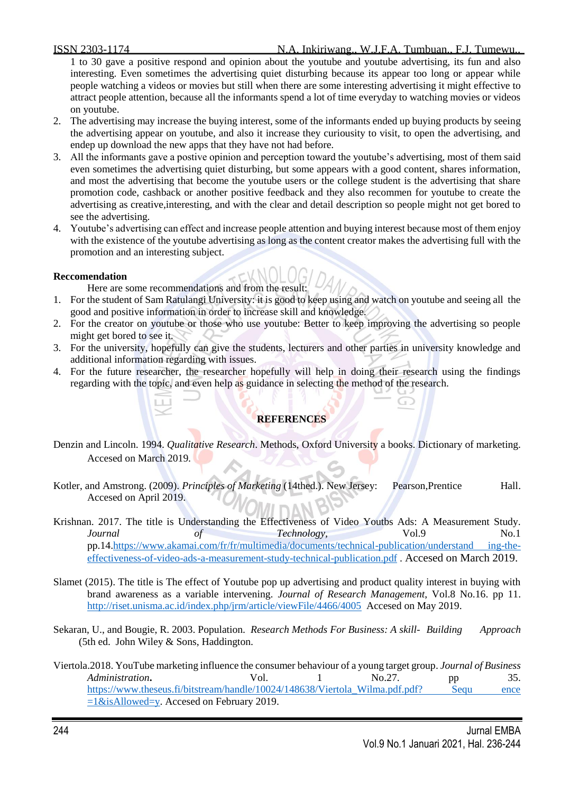1 to 30 gave a positive respond and opinion about the youtube and youtube advertising, its fun and also interesting. Even sometimes the advertising quiet disturbing because its appear too long or appear while people watching a videos or movies but still when there are some interesting advertising it might effective to attract people attention, because all the informants spend a lot of time everyday to watching movies or videos on youtube.

- 2. The advertising may increase the buying interest, some of the informants ended up buying products by seeing the advertising appear on youtube, and also it increase they curiousity to visit, to open the advertising, and endep up download the new apps that they have not had before.
- 3. All the informants gave a postive opinion and perception toward the youtube's advertising, most of them said even sometimes the advertising quiet disturbing, but some appears with a good content, shares information, and most the advertising that become the youtube users or the college student is the advertising that share promotion code, cashback or another positive feedback and they also recommen for youtube to create the advertising as creative,interesting, and with the clear and detail description so people might not get bored to see the advertising.
- 4. Youtube's advertising can effect and increase people attention and buying interest because most of them enjoy with the existence of the youtube advertising as long as the content creator makes the advertising full with the promotion and an interesting subject.

# **Reccomendation**

Here are some recommendations and from the result:

- 1. For the student of Sam Ratulangi University: it is good to keep using and watch on youtube and seeing all the good and positive information in order to increase skill and knowledge.
- 2. For the creator on youtube or those who use youtube: Better to keep improving the advertising so people might get bored to see it.
- 3. For the university, hopefully can give the students, lecturers and other parties in university knowledge and additional information regarding with issues.
- 4. For the future researcher, the researcher hopefully will help in doing their research using the findings regarding with the topic, and even help as guidance in selecting the method of the research.

# **REFERENCES**

- Denzin and Lincoln. 1994. *Qualitative Research*. Methods, Oxford University a books. Dictionary of marketing. Accesed on March 2019.
- Kotler, and Amstrong. (2009). *Principles of Marketing* (14thed.). New Jersey: Pearson,Prentice Hall. Accesed on April 2019.
- Krishnan. 2017. The title is Understanding the Effectiveness of Video Youtbs Ads: A Measurement Study. *Journal* of Technology, Vol.9 No.1 pp.14[.https://www.akamai.com/fr/fr/multimedia/documents/technical-publication/understand ing-the](https://www.akamai.com/fr/fr/multimedia/documents/technical-publication/understand%20ing-the-effectiveness-of-video-ads-a-measurement-study-technical-publication.pdf)[effectiveness-of-video-ads-a-measurement-study-technical-publication.pdf](https://www.akamai.com/fr/fr/multimedia/documents/technical-publication/understand%20ing-the-effectiveness-of-video-ads-a-measurement-study-technical-publication.pdf) . Accesed on March 2019.
- Slamet (2015). The title is The effect of Youtube pop up advertising and product quality interest in buying with brand awareness as a variable intervening. *Journal of Research Management*, Vol.8 No.16. pp 11. <http://riset.unisma.ac.id/index.php/jrm/article/viewFile/4466/4005> Accesed on May 2019.
- Sekaran, U., and Bougie, R. 2003. Population. *Research Methods For Business: A skill- Building Approach* (5th ed. John Wiley & Sons, Haddington.
- Viertola.2018. YouTube marketing influence the consumer behaviour of a young target group. *Journal of Business Administration* **Vol.** 1 No.27. pp 35. https://www.theseus.fi/bitstream/handle/10024/148638/Viertola Wilma.pdf.pdf? Sequ ence  $=1$ &isAllowed=y. Accesed on February 2019.